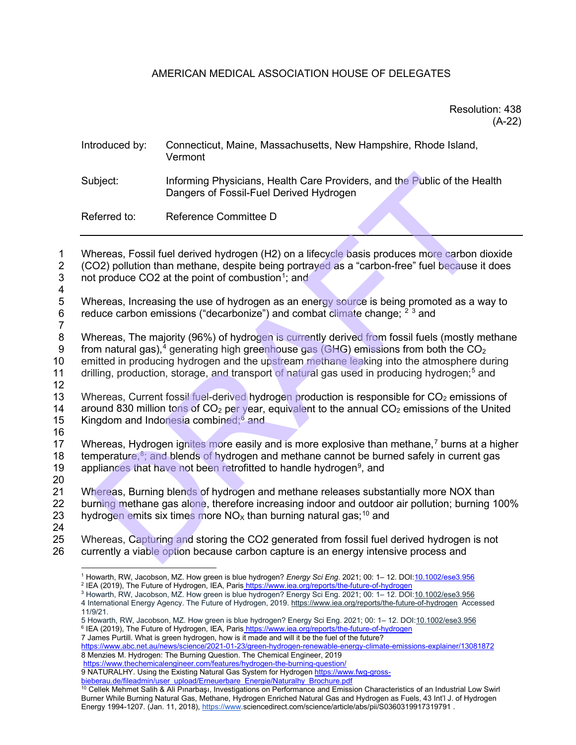# AMERICAN MEDICAL ASSOCIATION HOUSE OF DELEGATES

## Resolution: 438 (A-22)

# Introduced by: Connecticut, Maine, Massachusetts, New Hampshire, Rhode Island, Vermont Subject: Informing Physicians, Health Care Providers, and the Public of the Health Dangers of Fossil-Fuel Derived Hydrogen Referred to: Reference Committee D ibject: Informing Physicians, Health Care Providers, and the Public of the He<br>[D](#page-0-7)angers of [F](#page-0-2)ossil-Fuel Derived Hydrogen<br>ferred to: Reference Committee D<br>Areferred to: Reference Committee D<br>Areferred to: Reference Committee D

1 Whereas, Fossil fuel derived hydrogen (H2) on a lifecycle basis produces more carbon dioxide 2 (CO2) pollution than methane, despite being portrayed as a "carbon-free" fuel because it does<br>3 not produce CO2 at the point of combustion<sup>1</sup>: and not produce CO2 at the point of combustion<sup>1</sup>; and

- $\frac{4}{5}$ 5 Whereas, Increasing the use of hydrogen as an energy source is being promoted as a way to reduce carbon emissions ("decarbonize") and combat climate change:  $2^3$  and reduce carbon emissions ("decarbonize") and combat climate change;  $^{2}$  3 and
- $\frac{7}{8}$

Whereas, The majority (96%) of hydrogen is currently derived from fossil fuels (mostly methane 9 from natural gas),<sup>4</sup> generating high greenhouse gas (GHG) emissions from both the  $CO<sub>2</sub>$ 10 emitted in producing hydrogen and the upstream methane leaking into the atmosphere during

11 drilling, production, storage, and transport of natural gas used in producing hydrogen;<sup>5</sup> and 12

- 13 Whereas, Current fossil fuel-derived hydrogen production is responsible for CO<sub>2</sub> emissions of 14 around 830 million tons of CO<sub>2</sub> per vear, equivalent to the annual CO<sub>2</sub> emissions of the United around 830 million tons of  $CO<sub>2</sub>$  per year, equivalent to the annual  $CO<sub>2</sub>$  emissions of the United 15 Kingdom and Indonesia combined; $6$  and
- 16

17 Whereas, Hydrogen ignites more easily and is more explosive than methane,<sup>7</sup> burns at a higher 18  $\pm$  temperature,  $8$  and blends of hydrogen and methane cannot be burned safely in current gas 19 appliances that have not been retrofitted to handle hydrogen<sup>9</sup>, and

 $\frac{20}{21}$ 

Whereas. Burning blends of hydrogen and methane releases substantially more NOX than 22 burning methane gas alone, therefore increasing indoor and outdoor air pollution; burning 100% 23 hydrogen emits six times more  $NO<sub>x</sub>$  than burning natural gas;<sup>10</sup> and

24

<span id="page-0-2"></span><span id="page-0-1"></span><span id="page-0-0"></span>25 Whereas, Capturing and storing the CO2 generated from fossil fuel derived hydrogen is not 26 currently a viable option because carbon capture is an energy intensive process and

- <sup>3</sup> Howarth, RW, Jacobson, MZ. How green is blue hydrogen? Energy Sci Eng. 2021; 00: 1– 12. DOI:10.1002/ese3.956
- <span id="page-0-3"></span>4 International Energy Agency. The Future of Hydrogen, 2019[. https://www.iea.org/reports/the-future-of-hydrogen](about:blank) Accessed 11/9/21.

7 James Purtill. What is green hydrogen, how is it made and will it be the fuel of the future?

<span id="page-0-7"></span><span id="page-0-6"></span><span id="page-0-5"></span>[https://www.abc.net.au/news/science/2021-01-23/green-hydrogen-renewable-energy-climate-emissions-explainer/13081872](about:blank)  8 Menzies M. Hydrogen: The Burning Question. The Chemical Engineer, 2019

[https://www.thechemicalengineer.com/features/hydrogen-the-burning-question/](about:blank) 

9 NATURALHY. Using the Existing Natural Gas System for Hydroge[n https://www.fwg-gross-](about:blank)

<sup>&</sup>lt;sup>1</sup> Howarth, RW, Jacobson, MZ. How green is blue hydrogen? *Energy Sci Eng*. 2021; 00: 1– 12. DOI:<u>10.1002/ese3.956</u><br><sup>2</sup> IEA (2019), The Future of Hydrogen, IEA, Paris<u> https://www.iea.org/reports/the-future-of-hydrogen</u>

<span id="page-0-4"></span><sup>5</sup> Howarth, RW, Jacobson, MZ. How green is bl[ue](about:blank) hydrogen? Energy Sci Eng. 2021; 00: 1– 12. DOI:10.1002/ese3.956<br><sup>6</sup> IEA (2019), The Future of Hydrogen, IEA, Paris https://www.iea.org/reports/the-future-of-hydrogen

<span id="page-0-9"></span><span id="page-0-8"></span>bieberau.de/fileadmin/user\_upload/Erneuerbare\_Energie/Naturalhy\_Brochure.pdf<br><sup>10</sup> Cellek Mehmet Salih & Ali Pınarbaşı, Investigations on Performance and Emission Characteristics of an Industrial Low Swirl Burner While Burning Natural Gas, Methane, Hydrogen Enriched Natural Gas and Hydrogen as Fuels, 43 Int'l J. of Hydrogen Energy 1994-1207. (Jan. 11, 2018), [https://www.s](about:blank)ciencedirect.com/science/article/abs/pii/S0360319917319791.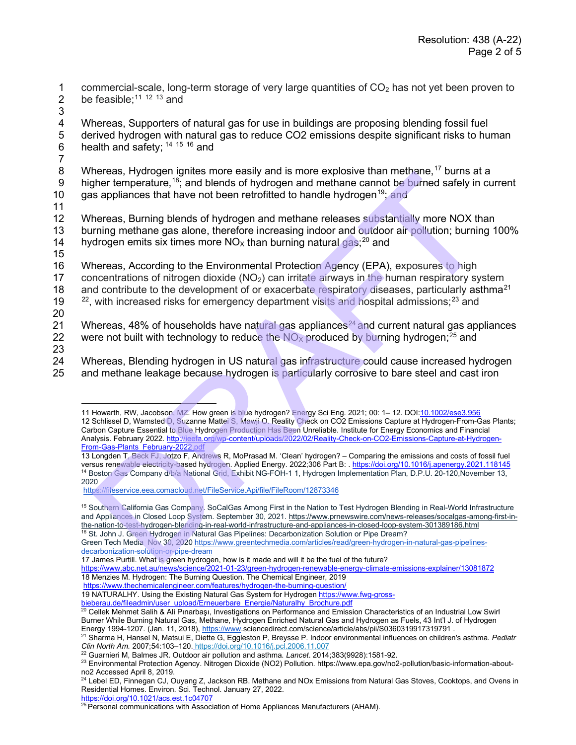1 commercial-scale, long-term storage of very large quantities of  $CO<sub>2</sub>$  has not yet been proven to <br>2 be feasible:<sup>11 12 13</sup> and be feasible:<sup>[11](#page-1-0) 12 [13](#page-1-2)</sup> and

3

4 Whereas, Supporters of natural gas for use in buildings are proposing blending fossil fuel<br>5 derived hydrogen with natural gas to reduce CO2 emissions despite significant risks to hu 5 derived hydrogen with natural gas to reduce CO2 emissions despite significant risks to human  $6$  health and safety; <sup>14 15 16</sup> and health and safety;  $14, 15, 16$  and

 7 Whereas, Hydrogen ignites more easily and is more explosive than methane,<sup>[17](#page-1-6)</sup> burns at a 9 higher temperature,<sup>18</sup>; and blends of hydrogen and methane cannot be burned safely in current 10 gas appliances that have not been retrofitted to handle hydrogen<sup>19</sup>; and

11 Whereas, Burning blends of hydrogen and methane releases substantially more NOX than 13 burning methane gas alone, therefore increasing indoor and outdoor air pollution; burning 100% 14 hydrogen emits six times more  $NO_x$  than burning natural gas;<sup>20</sup> and

15

16 Whereas, According to the Environmental Protection Agency (EPA), exposures to high 17 concentrations of nitrogen dioxide  $(NO<sub>2</sub>)$  can irritate airways in the human respiratory system 18 and contribute to the development of or exacerbate respiratory diseases, particularly asthma<sup>[21](#page-1-10)</sup>  $2^2$ , with increased risks for emergency department visits and hospital admissions;<sup>23</sup> and Herelas, Ryundermy (see methods of hydrogen and methods cannot be burned at elsewise that in the express substrating (in a sppliances that have not been retrofitted to handle hydrogen <sup>sa</sup>, and<br>as appliances that have not

20

21 Whereas, 48% of households have natural gas appliances<sup>24</sup> and current natural gas appliances<br>22 were not built with technology to reduce the NO<sub>X</sub> produced by burning hydrogen;<sup>25</sup> and were not built with technology to reduce the  $NOS$  produced by burning hydrogen; $^{25}$  and

23

<span id="page-1-1"></span><span id="page-1-0"></span>24 Whereas, Blending hydrogen in US natural gas infrastructure could cause increased hydrogen 25 and methane leakage because hydrogen is particularly corrosive to bare steel and cast iron

<sup>16</sup> St. John J. Green Hydrogen in Natural Gas Pipelines: Decarbonization Solution or Pipe Dream?

[https://www.thechemicalengineer.com/features/hydrogen-the-burning-question/](about:blank) 

19 NATURALHY. Using the Existing Natural Gas System for Hydrogen [https://www.fwg-gross-](about:blank)

[https://doi.org/10.1021/acs.est.1c04707](about:blank)

<sup>11</sup> Howarth, RW, Jacobson, MZ. How green is blue hydrogen? Energy Sci Eng. 2021; 00: 1-12. DOI:10.1002/ese3.956 12 Schlissel D, Wamsted D, Suzanne Mattei S, Mawji O. Reality Check on CO2 Emissions Capture at Hydrogen-From-Gas Plants; Carbon Capture Essential to Blue Hydrogen Production Has Been Unreliable. Institute for Energy Economics and Financial Analysis. February 2022. http://ieefa.org/wp-content/uploads/2022/02/Reality-Check-on-CO2-Emissions-Capture-at-Hydrogen-From-Gas-Plants\_February-2022.pdf

<span id="page-1-3"></span><span id="page-1-2"></span><sup>13</sup> Longden T, Beck FJ, Jotzo F, Andrews R, MoPrasad M. 'Clean' hydrogen? – Comparing the emissions and costs of fossil fuel versus renewable electricity-based hydrogen. Applied Energy. 2022;306 Part B: . https://doi.org/10.1016/j.apenergy.2021.118145 <sup>14</sup> Boston Gas Company d/b/a National Grid, Exhibit NG-FOH-1 1, Hydrogen Implementation Plan, D.P.U. 20-120, November 13, 2020

https://fileservice.eea.comacloud.net/FileService.Api/file/FileRoom/12873346

<span id="page-1-4"></span><sup>&</sup>lt;sup>15</sup> Southern California Gas Company. SoCalGas Among First in the Nation to Test Hydrogen Blending in Real-World Infrastructure and Appliances in Closed Loop System. September 30, 2021. https://www.prnewswire.com/news-releases/socalgas-among-first-inthe-nation-to-test-hydrogen-blending-in-real-world-infrastructure-and-appliances-in-closed-loop-system-301389186.html

<span id="page-1-5"></span>Green Tech Media Nov 30, 2020 https://www.greentechmedia.com/articles/read/green-hydrogen-in-natural-gas-pipelinesdecarbonization-solution-or-pipe-dream

<sup>17</sup> James Purtill. What is green hydrogen, how is it made and will it be the fuel of the future?

<span id="page-1-7"></span><span id="page-1-6"></span>[https://www.abc.net.au/news/science/2021-01-23/green-hydrogen-renewable-energy-climate-emissions-explainer/13081872](about:blank)  18 Menzies M. Hydrogen: The Burning Question. The Chemical Engineer, 2019

<span id="page-1-9"></span><span id="page-1-8"></span>bieberau.de/fileadmin/user\_upload/Erneuerbare\_Energie/Naturalhy\_Brochure.pdf<br><sup>20</sup> Cellek Mehmet Salih & Ali Pınarbaşı, Investigations on Performance and Emission Characteristics of an Industrial Low Swirl Burner While Burning Natural Gas, Methane, Hydrogen Enriched Natural Gas and Hydrogen as Fuels, 43 Int'l J. of Hydrogen Energy 1994-1207. (Jan. 11, 2018), [https://www.s](about:blank)ciencedirect.com/science/article/abs/pii/S0360319917319791 .

<span id="page-1-10"></span><sup>21</sup> Sharma H, Hansel N, Matsui E, Diette G, Eggleston P, Breysse P. Indoor environmental influences on children's asthma. *Pediatr Clin North Am.* 2007;54:103–120. [https://doi.org/10.1016/j.pcl.2006.11.007](about:blank)

<sup>22</sup> Guarnieri M, Balmes JR. Outdoor air pollution and asthma. *Lancet*. 2014;383(9928):1581-92.

<span id="page-1-12"></span><span id="page-1-11"></span><sup>23</sup> Environmental Protection Agency. Nitrogen Dioxide (NO2) Pollution. https://www.epa.gov/no2-pollution/basic-information-aboutno2 Accessed April 8, 2019.

<span id="page-1-13"></span><sup>&</sup>lt;sup>24</sup> Lebel ED, Finnegan CJ, Ouyang Z, Jackson RB. Methane and NOx Emissions from Natural Gas Stoves, Cooktops, and Ovens in Residential Homes. Environ. Sci. Technol. January 27, 2022.

<span id="page-1-14"></span> $25$  Personal communications with Association of Home Appliances Manufacturers (AHAM).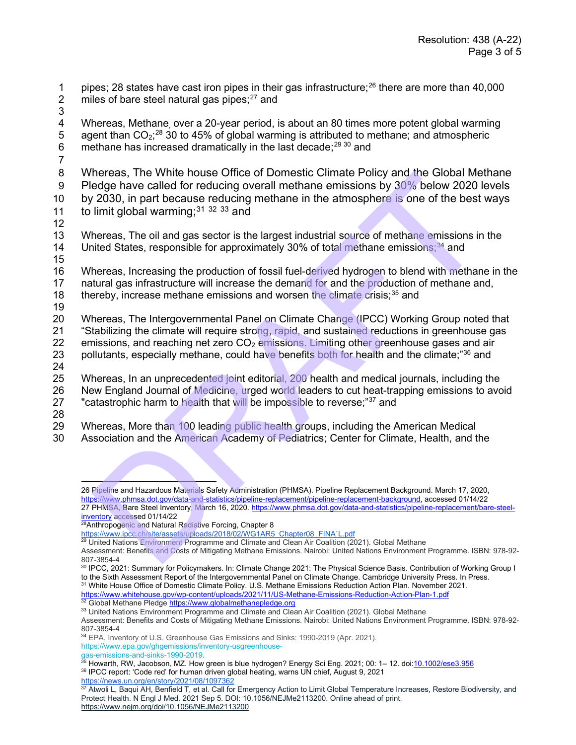pipes; 28 states have cast iron pipes in their gas infrastructure;<sup>[26](#page-2-0)</sup> there are more than 40,000<br>2 miles of bare steel natural gas pipes:<sup>27</sup> and miles of bare steel natural gas pipes; $27$  and

3

4 Whereas, Methane, over a 20-year period, is about an 80 times more potent global warming 5 agent than  $CO_2$ ;<sup>28</sup> 30 to 45% of global warming is attributed to methane; and atmospheric 6 methane has increased dramatically in the last decade; $^{29\,30}$  $^{29\,30}$  $^{29\,30}$  and

7

8 Whereas, The White house Office of Domestic Climate Policy and the Global Methane 9 Pledge have called for reducing overall methane emissions by 30% below 2020 levels 10 by 2030, in part because reducing methane in the atmosphere is one of the best ways 11 to limit global warming;  $31^{32}$   $33^{33}$  and

12

13 Whereas, The oil and gas sector is the largest industrial source of methane emissions in the 14 United States, responsible for approximately 30% of total methane emissions;<sup>34</sup> and

15

16 Whereas, Increasing the production of fossil fuel-derived hydrogen to blend with methane in the 17 natural gas infrastructure will increase the demand for and the production of methane and, 18 thereby, increase methane emissions and worsen the climate crisis; $35$  and 19

20 Whereas, The Intergovernmental Panel on Climate Change (IPCC) Working Group noted that 21 "Stabilizing the climate will require strong, rapid, and sustained reductions in greenhouse gas 22 emissions, and reaching net zero  $CO<sub>2</sub>$  emissions. Limiting other greenhouse gases and air 23 pollutants, especially methane, could have benefits both for health and the climate;<sup>"36</sup> and 24 nereas, The White nouse Office of [D](about:blank)iomestic Climate Policy and the Global Methane<br>edge have called for reducing overall methane emissions by 30% below 2020 le<br>2030, in part because reducing overall methane in the atmospher

25 Whereas, In an unprecedented joint editorial, 200 health and medical journals, including the 26 New England Journal of Medicine, urged world leaders to cut heat-trapping emissions to avoid<br>27 Teatastrophic harm to health that will be impossible to reverse:"<sup>37</sup> and "catastrophic harm to health that will be impossible to reverse;"<sup>37</sup> and

28

29 Whereas, More than 100 leading public health groups, including the American Medical 30 Association and the American Academy of Pediatrics; Center for Climate, Health, and the

<span id="page-2-4"></span><sup>30</sup> IPCC, 2021: Summary for Policymakers. In: Climate Change 2021: The Physical Science Basis. Contribution of Working Group I to the Sixth Assessment Report of the Intergovernmental Panel on Climate Change. Cambridge University Press. In Press. <sup>31</sup> White House Office of Domestic Climate Policy. U.S. Methane Emissions Reduction Action Plan. November 2021.<br>https://www.whitehouse.gov/wp-content/uploads/2021/11/US-Methane-Emissions-Reduction-Action-Plan-1.pdf

<span id="page-2-7"></span><span id="page-2-6"></span><span id="page-2-5"></span> $32$  Global Methane Pledge https://www.globalmethanepledge.org<br> $33$  United Nations Environment Programme and Climate and Clean Air Coalition (2021). Global Methane

Assessment: Benefits and Costs of Mitigating Methane Emissions. Nairobi: United Nations Environment Programme. ISBN: 978-92- 807-3854-4

<span id="page-2-8"></span><sup>34</sup> EPA. Inventory of U.S. Greenhouse Gas Emissions and Sinks: 1990-2019 (Apr. 2021). https://www.epa.gov/ghgemissions/inventory-usgreenhouse-

gas-emissions-and-sinks-1990-2019.

<span id="page-2-9"></span><sup>36</sup> IPCC report: 'Code red' for human driven global heating, warns UN chief, August 9, 2021

<span id="page-2-11"></span><span id="page-2-10"></span>https://news.un.org/en/story/2021/08/1097362<br><sup>37</sup> Atwoli L, Baqui AH, Benfield T, et al. Call for Emergency Action to Limit Global Temperature Increases, Restore Biodiversity, and Protect Health. N Engl J Med. 2021 Sep 5. DOI: 10.1056/NEJMe2113200. Online ahead of print.

<span id="page-2-1"></span><span id="page-2-0"></span><sup>26</sup> Pipeline and Hazardous Materials Safety Administration (PHMSA). Pipeline Replacement Background. March 17, 2020, https://www.phmsa.dot.gov/data-and-statistics/pipeline-replacement/pipeline-replacement-background, accessed 01/14/22 27 PHMSA, Bare Steel Inventory, March 16, 2020. https://www.phmsa.dot.gov/data-and-statistics/pipeline-replacement/bare-steel[inventory](about:blank) accessed 01/14/22

<span id="page-2-2"></span><sup>&</sup>lt;sup>28</sup>Anthropogenic and Natural Radiative Forcing, Chapter 8<br>https://www.ipcc.ch/site/assets/uploads/2018/02/WG1AR5 Chapter08 FINA`L.pdf

<sup>&</sup>lt;sup>29</sup> United Nations Environment Programme and Climate and Clean Air Coalition (2021). Global Methane

<span id="page-2-3"></span>Assessment: Benefits and Costs of Mitigating Methane Emissions. Nairobi: United Nations Environment Programme. ISBN: 978-92-<br>807-3854-4

<sup>&</sup>lt;sup>35</sup> Howarth, RW, Jacobson, MZ. How green is blue hydrogen? Energy Sci Eng. 2021; 00: 1– 12. doi:<u>10.1002/ese3.956</u>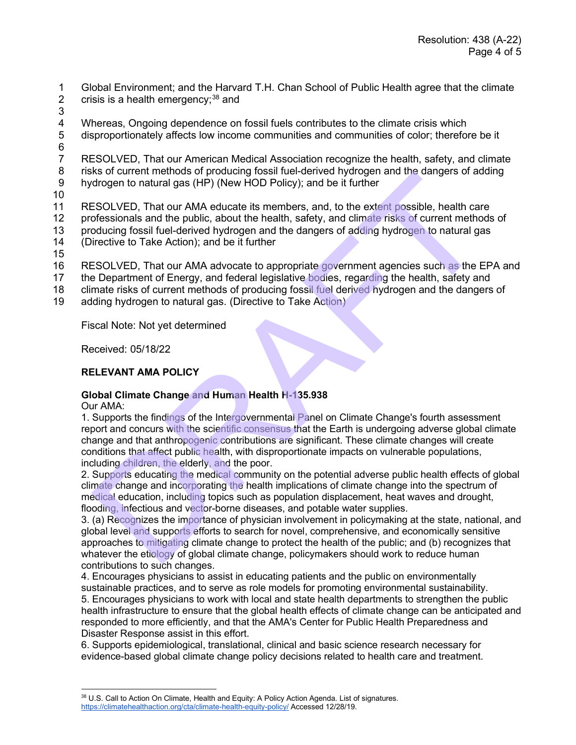1 Global Environment; and the Harvard T.H. Chan School of Public Health agree that the climate<br>2 crisis is a health emergency:<sup>38</sup> and crisis is a health emergency; $38$  and

3

4 Whereas, Ongoing dependence on fossil fuels contributes to the climate crisis which<br>5 disproportionately affects low income communities and communities of color; therefore 5 disproportionately affects low income communities and communities of color; therefore be it

 $\frac{6}{7}$ 7 RESOLVED, That our American Medical Association recognize the health, safety, and climate<br>8 risks of current methods of producing fossil fuel-derived hydrogen and the dangers of adding risks of current methods of producing fossil fuel-derived hydrogen and the dangers of adding 9 hydrogen to natural gas (HP) (New HOD Policy); and be it further

10

11 RESOLVED, That our AMA educate its members, and, to the extent possible, health care<br>12 professionals and the public, about the health, safety, and climate risks of current methods professionals and the public, about the health, safety, and climate risks of current methods of 13 producing fossil fuel-derived hydrogen and the dangers of adding hydrogen to natural gas 14 (Directive to Take Action); and be it further

15

16 RESOLVED, That our AMA advocate to appropriate government agencies such as the EPA and

17 the Department of Energy, and federal legislative bodies, regarding the health, safety and

18 climate risks of current methods of producing fossil fuel derived hydrogen and the dangers of

19 adding hydrogen to natural gas. (Directive to Take Action)

Fiscal Note: Not yet determined

Received: 05/18/22

# **RELEVANT AMA POLICY**

# **Global Climate Change and Human Health H-135.938**

Our AMA:

1. Supports the findings of the Intergovernmental Panel on Climate Change's fourth assessment report and concurs with the scientific consensus that the Earth is undergoing adverse global climate change and that anthropogenic contributions are significant. These climate changes will create conditions that affect public health, with disproportionate impacts on vulnerable populations, including children, the elderly, and the poor. s's or cannent methods or pubations (methods) the relievative in the pole to the state of dependent in the complete of deposite and the public, and the information of deposite and the public, and controls of of the extent

2. Supports educating the medical community on the potential adverse public health effects of global climate change and incorporating the health implications of climate change into the spectrum of medical education, including topics such as population displacement, heat waves and drought, flooding, infectious and vector-borne diseases, and potable water supplies.

3. (a) Recognizes the importance of physician involvement in policymaking at the state, national, and global level and supports efforts to search for novel, comprehensive, and economically sensitive approaches to mitigating climate change to protect the health of the public; and (b) recognizes that whatever the etiology of global climate change, policymakers should work to reduce human contributions to such changes.

4. Encourages physicians to assist in educating patients and the public on environmentally sustainable practices, and to serve as role models for promoting environmental sustainability. 5. Encourages physicians to work with local and state health departments to strengthen the public health infrastructure to ensure that the global health effects of climate change can be anticipated and responded to more efficiently, and that the AMA's Center for Public Health Preparedness and Disaster Response assist in this effort.

6. Supports epidemiological, translational, clinical and basic science research necessary for evidence-based global climate change policy decisions related to health care and treatment.

<span id="page-3-0"></span><sup>38</sup> U.S. Call to Action On Climate, Health and Equity: A Policy Action Agenda. List of signatures. [https://climatehealthaction.org/cta/climate-health-equity-policy/](about:blank) Accessed 12/28/19.